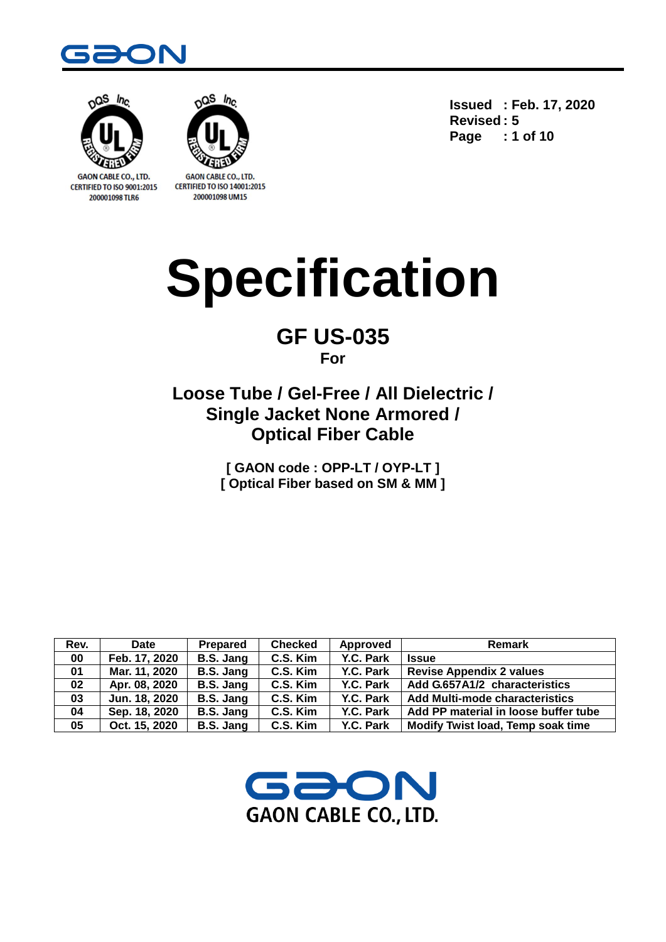



CERTIFIED TO ISO 9001:2015 200001098 TLR6



**CERTIFIED TO ISO 14001:2015** 200001098 UM15

**Issued : Feb. 17, 2020 Revised : 5 Page : 1 of 10**

# **Specification**

## **GF US-035 For**

# **Loose Tube / Gel-Free / All Dielectric / Single Jacket None Armored / Optical Fiber Cable**

**[ GAON code : OPP-LT / OYP-LT ] [ Optical Fiber based on SM & MM ]**

| Rev. | <b>Date</b>   | Prepared  | <b>Checked</b> | Approved  | Remark                                |
|------|---------------|-----------|----------------|-----------|---------------------------------------|
| 00   | Feb. 17, 2020 | B.S. Jang | C.S. Kim       | Y.C. Park | <b>Issue</b>                          |
| 01   | Mar. 11, 2020 | B.S. Jang | C.S. Kim       | Y.C. Park | <b>Revise Appendix 2 values</b>       |
| 02   | Apr. 08, 2020 | B.S. Jang | C.S. Kim       | Y.C. Park | Add G.657A1/2 characteristics         |
| 03   | Jun. 18, 2020 | B.S. Jang | C.S. Kim       | Y.C. Park | <b>Add Multi-mode characteristics</b> |
| 04   | Sep. 18, 2020 | B.S. Jang | C.S. Kim       | Y.C. Park | Add PP material in loose buffer tube  |
| 05   | Oct. 15, 2020 | B.S. Jang | C.S. Kim       | Y.C. Park | Modify Twist load, Temp soak time     |

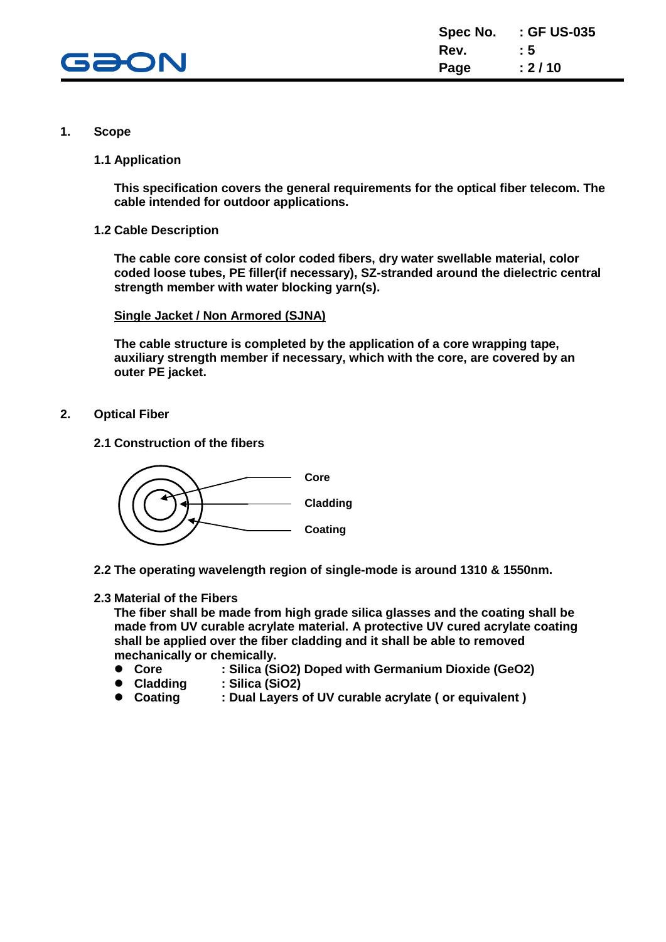

#### **1. Scope**

**1.1 Application**

**This specification covers the general requirements for the optical fiber telecom. The cable intended for outdoor applications.**

**1.2 Cable Description**

**The cable core consist of color coded fibers, dry water swellable material, color coded loose tubes, PE filler(if necessary), SZ-stranded around the dielectric central strength member with water blocking yarn(s).**

#### **Single Jacket / Non Armored (SJNA)**

**The cable structure is completed by the application of a core wrapping tape, auxiliary strength member if necessary, which with the core, are covered by an outer PE jacket.**

- **2. Optical Fiber**
	- **2.1 Construction of the fibers**



**2.2 The operating wavelength region of single-mode is around 1310 & 1550nm.**

#### **2.3 Material of the Fibers**

**The fiber shall be made from high grade silica glasses and the coating shall be made from UV curable acrylate material. A protective UV cured acrylate coating shall be applied over the fiber cladding and it shall be able to removed mechanically or chemically.**

- **Core : Silica (SiO2) Doped with Germanium Dioxide (GeO2)**
- **Cladding : Silica (SiO2)**
- **Coating : Dual Layers of UV curable acrylate ( or equivalent )**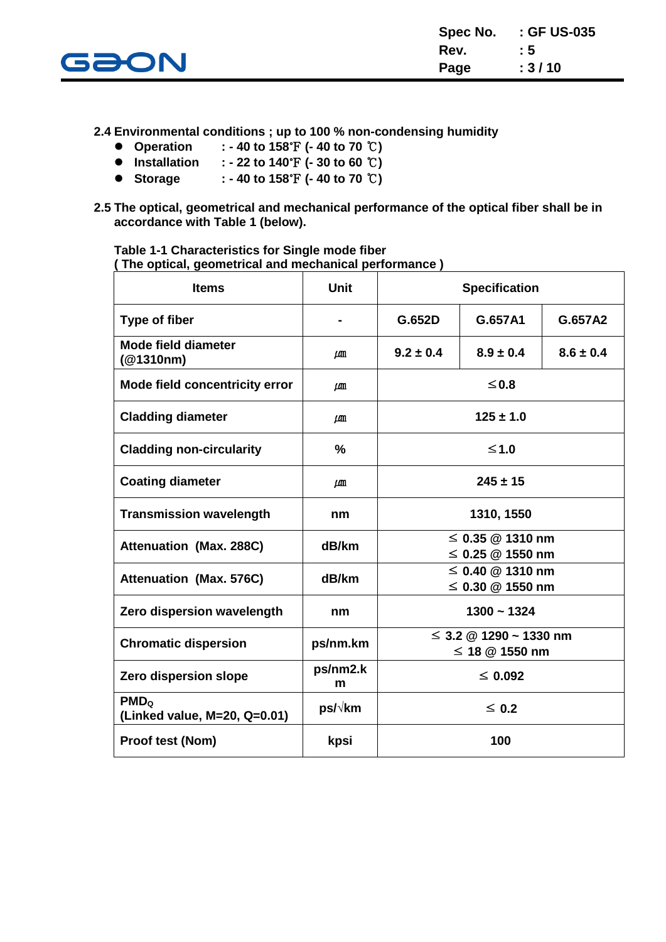

**2.4 Environmental conditions ; up to 100 % non-condensing humidity**

- **Operation : - 40 to 158**℉ **(- 40 to 70** ℃**)**
- **Installation : - 22 to 140**℉ **(- 30 to 60** ℃**)**
- **Storage : - 40 to 158**℉ **(- 40 to 70** ℃**)**
- **2.5 The optical, geometrical and mechanical performance of the optical fiber shall be in accordance with Table 1 (below).**

**Table 1-1 Characteristics for Single mode fiber ( The optical, geometrical and mechanical performance )**

| <b>Items</b>                                               | <b>Unit</b>   | <b>Specification</b>                            |                                             |               |  |
|------------------------------------------------------------|---------------|-------------------------------------------------|---------------------------------------------|---------------|--|
| Type of fiber                                              |               | G.652D                                          | G.657A1                                     | G.657A2       |  |
| <b>Mode field diameter</b><br>(@1310nm)                    | $\mu$ m       | $9.2 \pm 0.4$                                   | $8.9 \pm 0.4$                               | $8.6 \pm 0.4$ |  |
| Mode field concentricity error                             | $\mu$ m       | ≤0.8                                            |                                             |               |  |
| <b>Cladding diameter</b>                                   | $\mu$ m       | $125 \pm 1.0$                                   |                                             |               |  |
| <b>Cladding non-circularity</b>                            | $\%$          |                                                 | $≤1.0$                                      |               |  |
| <b>Coating diameter</b>                                    | $\mu$ m       | $245 \pm 15$                                    |                                             |               |  |
| <b>Transmission wavelength</b>                             | nm            | 1310, 1550                                      |                                             |               |  |
| <b>Attenuation (Max. 288C)</b>                             | dB/km         |                                                 | $\leq$ 0.35 @ 1310 nm<br>≤ 0.25 $@$ 1550 nm |               |  |
| <b>Attenuation (Max. 576C)</b>                             | dB/km         | $\leq$ 0.40 @ 1310 nm<br>$\leq$ 0.30 @ 1550 nm  |                                             |               |  |
| Zero dispersion wavelength                                 | nm            | $1300 - 1324$                                   |                                             |               |  |
| <b>Chromatic dispersion</b>                                | ps/nm.km      | $\leq$ 3.2 @ 1290 ~ 1330 nm<br>≤ 18 $@$ 1550 nm |                                             |               |  |
| Zero dispersion slope                                      | ps/nm2.k<br>m | $\leq 0.092$                                    |                                             |               |  |
| PMD <sub>o</sub><br>ps/√km<br>(Linked value, M=20, Q=0.01) |               | $\leq 0.2$                                      |                                             |               |  |
| Proof test (Nom)                                           | kpsi          | 100                                             |                                             |               |  |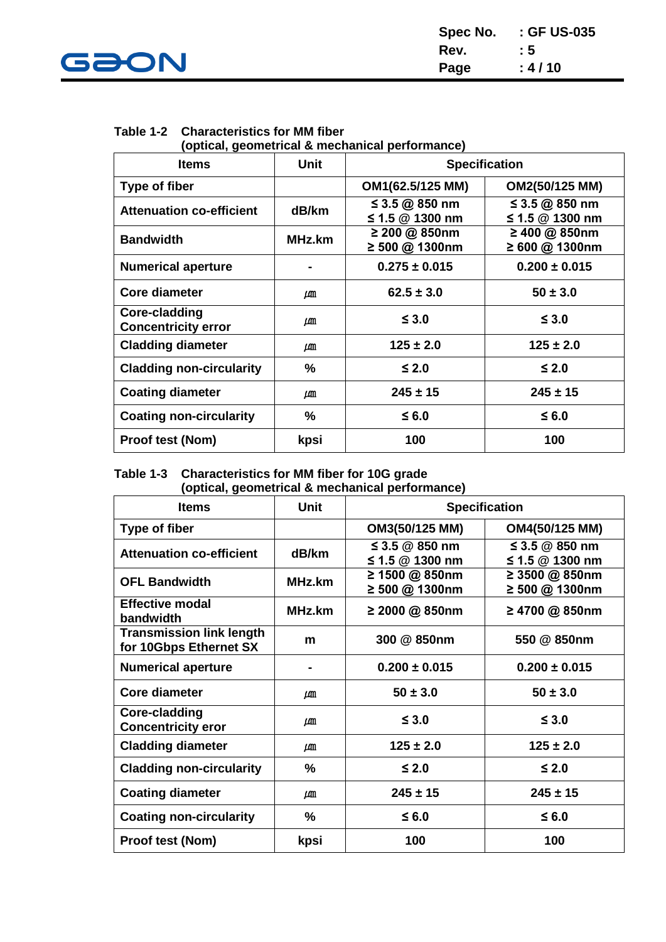

| Spec No. | : GF US-035 |
|----------|-------------|
| Rev.     | : 5         |
| Page     | : 4/10      |

| Table 1-2 Characteristics for MM fiber |  |
|----------------------------------------|--|
|                                        |  |

**(optical, geometrical & mechanical performance)**

| <b>Items</b>                                       | <b>Unit</b> | <b>Specification</b>                |                                     |  |
|----------------------------------------------------|-------------|-------------------------------------|-------------------------------------|--|
| Type of fiber                                      |             | OM1(62.5/125 MM)                    | OM2(50/125 MM)                      |  |
| <b>Attenuation co-efficient</b>                    | dB/km       | ≤ 3.5 @ 850 nm<br>≤ 1.5 $@$ 1300 nm | ≤ 3.5 @ 850 nm<br>≤ 1.5 $@$ 1300 nm |  |
| <b>Bandwidth</b>                                   | MHz.km      | ≥ 200 @ 850nm<br>≥ 500 @ 1300nm     | ≥ 400 @ 850nm<br>≥ 600 @ 1300nm     |  |
| <b>Numerical aperture</b>                          |             | $0.275 \pm 0.015$                   | $0.200 \pm 0.015$                   |  |
| Core diameter                                      | $\mu$ m     | $62.5 \pm 3.0$                      | $50 \pm 3.0$                        |  |
| <b>Core-cladding</b><br><b>Concentricity error</b> | $\mu$ m     | $\leq 3.0$                          | $\leq 3.0$                          |  |
| <b>Cladding diameter</b>                           | LΜ          | $125 \pm 2.0$                       | $125 \pm 2.0$                       |  |
| <b>Cladding non-circularity</b>                    | $\%$        | $≤$ 2.0                             | $≤$ 2.0                             |  |
| <b>Coating diameter</b>                            | $\mu$ m     | $245 \pm 15$                        | $245 \pm 15$                        |  |
| <b>Coating non-circularity</b>                     | $\%$        | $≤$ 6.0                             | $≤$ 6.0                             |  |
| <b>Proof test (Nom)</b>                            | kpsi        | 100                                 | 100                                 |  |

#### **Table 1-3 Characteristics for MM fiber for 10G grade (optical, geometrical & mechanical performance)**

| <b>Items</b>                                              | <b>Unit</b> | <b>Specification</b>                  |                                       |
|-----------------------------------------------------------|-------------|---------------------------------------|---------------------------------------|
| Type of fiber                                             |             | OM3(50/125 MM)                        | OM4(50/125 MM)                        |
| <b>Attenuation co-efficient</b>                           | dB/km       | ≤ 3.5 $@$ 850 nm<br>≤ 1.5 $@$ 1300 nm | ≤ 3.5 $@$ 850 nm<br>≤ 1.5 $@$ 1300 nm |
| <b>OFL Bandwidth</b>                                      | MHz.km      | ≥ 1500 @ 850nm<br>≥ 500 @ 1300nm      | ≥ 3500 @ 850nm<br>≥ 500 @ 1300nm      |
| <b>Effective modal</b><br>bandwidth                       | MHz.km      | ≥ 2000 @ 850nm                        | ≥ 4700 @ 850nm                        |
| <b>Transmission link length</b><br>for 10Gbps Ethernet SX | m           | 300 @ 850nm                           | 550 @ 850nm                           |
| <b>Numerical aperture</b>                                 |             | $0.200 \pm 0.015$                     | $0.200 \pm 0.015$                     |
| <b>Core diameter</b>                                      | $\mu$ m     | $50 \pm 3.0$                          | $50 \pm 3.0$                          |
| Core-cladding<br><b>Concentricity eror</b>                | LAM         | $\leq 3.0$                            | $\leq 3.0$                            |
| <b>Cladding diameter</b>                                  | $\mu$ m     | $125 \pm 2.0$                         | $125 \pm 2.0$                         |
| <b>Cladding non-circularity</b>                           | $\%$        | $≤$ 2.0                               | $\leq 2.0$                            |
| <b>Coating diameter</b>                                   | $\mu$ m     | $245 \pm 15$                          | $245 \pm 15$                          |
| <b>Coating non-circularity</b>                            | %           | $≤$ 6.0                               | $≤$ 6.0                               |
| <b>Proof test (Nom)</b>                                   | kpsi        | 100                                   | 100                                   |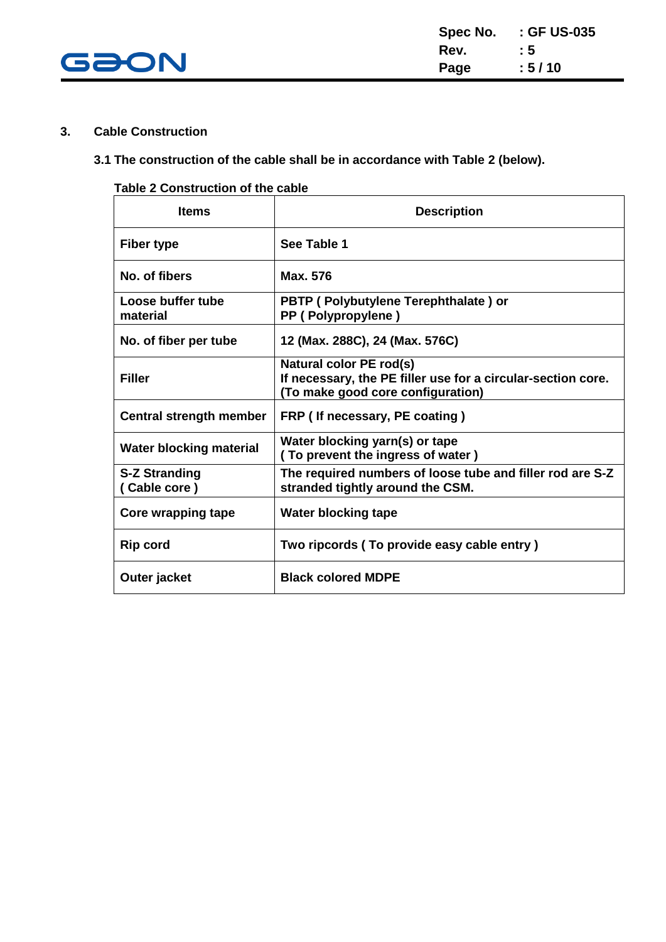

#### **3. Cable Construction**

#### **3.1 The construction of the cable shall be in accordance with Table 2 (below).**

#### **Table 2 Construction of the cable**

| <b>Items</b>                         | <b>Description</b>                                                                                                           |
|--------------------------------------|------------------------------------------------------------------------------------------------------------------------------|
| Fiber type                           | See Table 1                                                                                                                  |
| No. of fibers                        | Max. 576                                                                                                                     |
| Loose buffer tube<br>material        | PBTP (Polybutylene Terephthalate) or<br>PP (Polypropylene)                                                                   |
| No. of fiber per tube                | 12 (Max. 288C), 24 (Max. 576C)                                                                                               |
| <b>Filler</b>                        | Natural color PE rod(s)<br>If necessary, the PE filler use for a circular-section core.<br>(To make good core configuration) |
| Central strength member              | FRP (If necessary, PE coating)                                                                                               |
| <b>Water blocking material</b>       | Water blocking yarn(s) or tape<br>(To prevent the ingress of water)                                                          |
| <b>S-Z Stranding</b><br>(Cable core) | The required numbers of loose tube and filler rod are S-Z<br>stranded tightly around the CSM.                                |
| Core wrapping tape                   | <b>Water blocking tape</b>                                                                                                   |
| <b>Rip cord</b>                      | Two ripcords (To provide easy cable entry)                                                                                   |
| Outer jacket                         | <b>Black colored MDPE</b>                                                                                                    |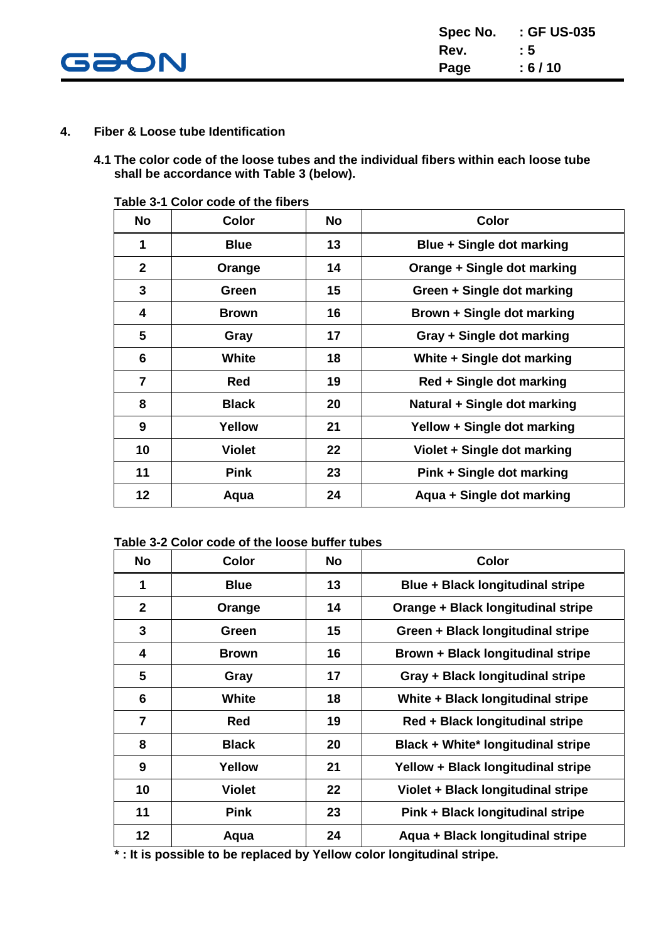

#### **4. Fiber & Loose tube Identification**

**4.1 The color code of the loose tubes and the individual fibers within each loose tube shall be accordance with Table 3 (below).**

| <b>No</b>      | <b>Color</b>  | <b>No</b> | <b>Color</b>                 |
|----------------|---------------|-----------|------------------------------|
| 1              | <b>Blue</b>   | 13        | Blue + Single dot marking    |
| $\mathbf{2}$   | Orange        | 14        | Orange + Single dot marking  |
| 3              | Green         | 15        | Green + Single dot marking   |
| 4              | <b>Brown</b>  | 16        | Brown + Single dot marking   |
| 5              | Gray          | 17        | Gray + Single dot marking    |
| 6              | <b>White</b>  | 18        | White + Single dot marking   |
| $\overline{7}$ | Red           | 19        | Red + Single dot marking     |
| 8              | <b>Black</b>  | 20        | Natural + Single dot marking |
| 9              | Yellow        | 21        | Yellow + Single dot marking  |
| 10             | <b>Violet</b> | 22        | Violet + Single dot marking  |
| 11             | <b>Pink</b>   | 23        | Pink + Single dot marking    |
| 12             | Aqua          | 24        | Aqua + Single dot marking    |

**Table 3-1 Color code of the fibers**

#### **Table 3-2 Color code of the loose buffer tubes**

| <b>No</b>      | <b>Color</b>  | <b>No</b> | <b>Color</b>                              |
|----------------|---------------|-----------|-------------------------------------------|
| 1              | <b>Blue</b>   | 13        | <b>Blue + Black longitudinal stripe</b>   |
| $\mathbf{2}$   | Orange        | 14        | Orange + Black longitudinal stripe        |
| 3              | Green         | 15        | Green + Black longitudinal stripe         |
| 4              | <b>Brown</b>  | 16        | Brown + Black longitudinal stripe         |
| 5              | Gray          | 17        | Gray + Black longitudinal stripe          |
| 6              | <b>White</b>  | 18        | White + Black longitudinal stripe         |
| $\overline{7}$ | <b>Red</b>    | 19        | Red + Black longitudinal stripe           |
| 8              | <b>Black</b>  | 20        | <b>Black + White* longitudinal stripe</b> |
| 9              | Yellow        | 21        | Yellow + Black longitudinal stripe        |
| 10             | <b>Violet</b> | 22        | Violet + Black longitudinal stripe        |
| 11             | <b>Pink</b>   | 23        | Pink + Black longitudinal stripe          |
| 12             | Aqua          | 24        | Aqua + Black longitudinal stripe          |

 **\* : It is possible to be replaced by Yellow color longitudinal stripe.**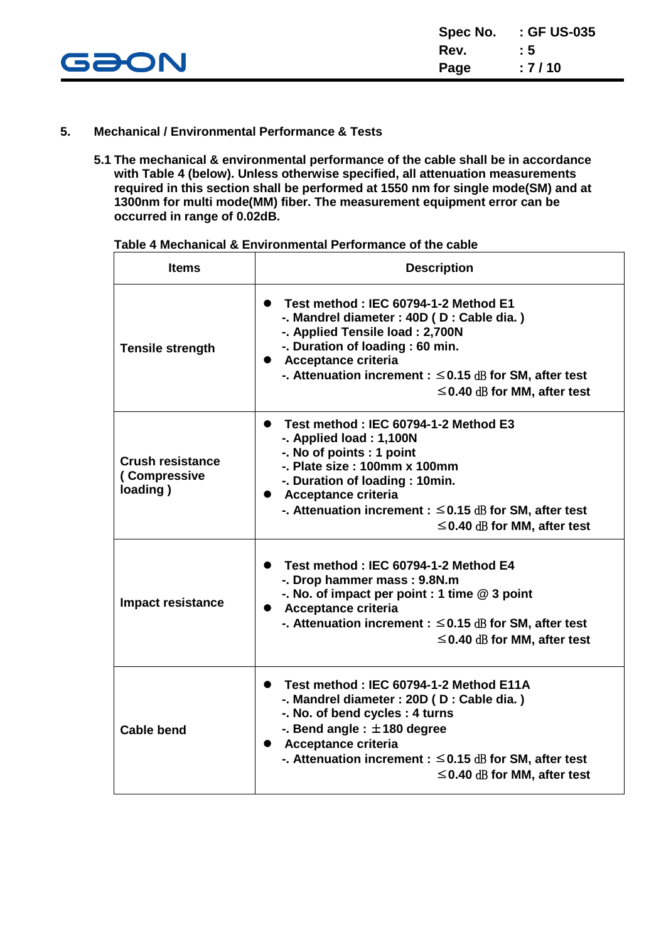

#### **5. Mechanical / Environmental Performance & Tests**

**5.1 The mechanical & environmental performance of the cable shall be in accordance with Table 4 (below). Unless otherwise specified, all attenuation measurements required in this section shall be performed at 1550 nm for single mode(SM) and at 1300nm for multi mode(MM) fiber. The measurement equipment error can be occurred in range of 0.02dB.**

| <b>Items</b>                                        | <b>Description</b>                                                                                                                                                                                                                                                                                            |
|-----------------------------------------------------|---------------------------------------------------------------------------------------------------------------------------------------------------------------------------------------------------------------------------------------------------------------------------------------------------------------|
| <b>Tensile strength</b>                             | • Test method: IEC 60794-1-2 Method E1<br>-. Mandrel diameter : 40D (D : Cable dia.)<br>-. Applied Tensile load: 2,700N<br>-. Duration of loading : 60 min.<br>• Acceptance criteria<br>-. Attenuation increment : $\leq$ 0.15 dB for SM, after test<br>$\leq$ 0.40 dB for MM, after test                     |
| <b>Crush resistance</b><br>(Compressive<br>loading) | Test method: IEC 60794-1-2 Method E3<br>$\bullet$<br>-. Applied load: 1,100N<br>-. No of points : 1 point<br>$-$ . Plate size : 100mm x 100mm<br>-. Duration of loading: 10min.<br>• Acceptance criteria<br>-. Attenuation increment : $\leq$ 0.15 dB for SM, after test<br>$\leq$ 0.40 dB for MM, after test |
| <b>Impact resistance</b>                            | • Test method: IEC 60794-1-2 Method E4<br>-. Drop hammer mass: 9.8N.m<br>-. No. of impact per point : 1 time $@3$ point<br>• Acceptance criteria<br>-. Attenuation increment : $\leq$ 0.15 dB for SM, after test<br>$\leq$ 0.40 dB for MM, after test                                                         |
| <b>Cable bend</b>                                   | Test method: IEC 60794-1-2 Method E11A<br>$\bullet$<br>-. Mandrel diameter : 20D (D : Cable dia.)<br>-. No. of bend cycles: 4 turns<br>-. Bend angle : $\pm$ 180 degree<br>• Acceptance criteria<br>-. Attenuation increment : $\leq$ 0.15 dB for SM, after test<br>$\leq$ 0.40 dB for MM, after test         |

**Table 4 Mechanical & Environmental Performance of the cable**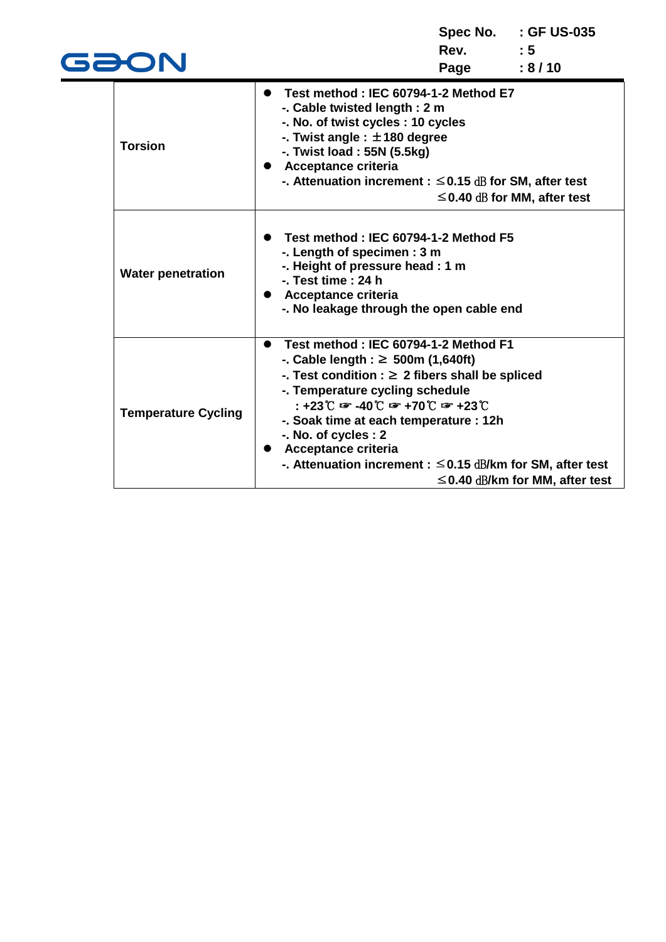| GƏON                       |                                                                                                                                                                                                                                                                                                                                                                                                                                                                | Rev. : 5<br>Page | Spec No. : GF US-035<br>: 8/10       |
|----------------------------|----------------------------------------------------------------------------------------------------------------------------------------------------------------------------------------------------------------------------------------------------------------------------------------------------------------------------------------------------------------------------------------------------------------------------------------------------------------|------------------|--------------------------------------|
| <b>Torsion</b>             | Test method : IEC 60794-1-2 Method E7<br>$\bullet$<br>-. Cable twisted length: 2 m<br>-. No. of twist cycles : 10 cycles<br>-. Twist angle : $\pm$ 180 degree<br>-. Twist load: 55N (5.5kg)<br><b>Acceptance criteria</b><br>-. Attenuation increment : $\leq$ 0.15 dB for SM, after test                                                                                                                                                                      |                  | $\leq$ 0.40 dB for MM, after test    |
| <b>Water penetration</b>   | Test method : IEC 60794-1-2 Method F5<br>-. Length of specimen: 3 m<br>-. Height of pressure head : 1 m<br>-. Test time: 24 h<br>Acceptance criteria<br>-. No leakage through the open cable end                                                                                                                                                                                                                                                               |                  |                                      |
| <b>Temperature Cycling</b> | • Test method : IEC 60794-1-2 Method F1<br>-. Cable length : ≥ 500m (1,640ft)<br>-. Test condition : $\geq 2$ fibers shall be spliced<br>-. Temperature cycling schedule<br>$: +23^{\circ}$ $\mathbb{C}$ $\mathbb{F}$ -40 $\mathbb{C}$ $\mathbb{F}$ +70 $\mathbb{C}$ $\mathbb{F}$ +23 $\mathbb{C}$<br>-. Soak time at each temperature : 12h<br>-. No. of cycles : 2<br>Acceptance criteria<br>-. Attenuation increment : $\leq$ 0.15 dB/km for SM, after test |                  | $\leq$ 0.40 dB/km for MM, after test |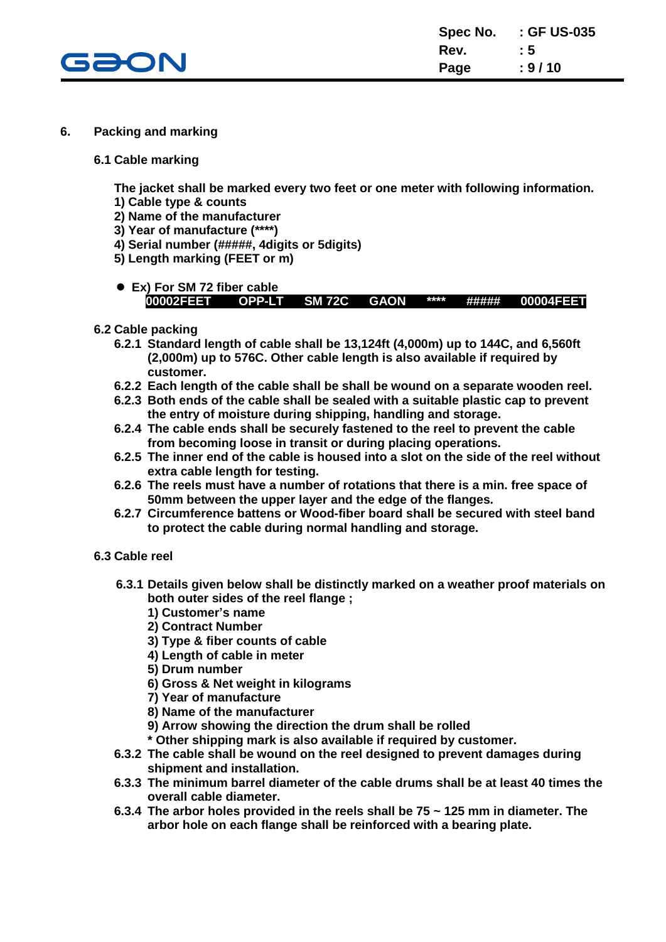

#### **6. Packing and marking**

**6.1 Cable marking**

**The jacket shall be marked every two feet or one meter with following information.**

- **1) Cable type & counts**
- **2) Name of the manufacturer**
- **3) Year of manufacture (\*\*\*\*)**
- **4) Serial number (#####, 4digits or 5digits)**
- **5) Length marking (FEET or m)**
- **Ex) For SM 72 fiber cable 00002FEET OPP-LT SM 72C GAON \*\*\*\* ##### 00004FEET**
- **6.2 Cable packing**
	- **6.2.1 Standard length of cable shall be 13,124ft (4,000m) up to 144C, and 6,560ft (2,000m) up to 576C. Other cable length is also available if required by customer.**
	- **6.2.2 Each length of the cable shall be shall be wound on a separate wooden reel.**
	- **6.2.3 Both ends of the cable shall be sealed with a suitable plastic cap to prevent the entry of moisture during shipping, handling and storage.**
	- **6.2.4 The cable ends shall be securely fastened to the reel to prevent the cable from becoming loose in transit or during placing operations.**
	- **6.2.5 The inner end of the cable is housed into a slot on the side of the reel without extra cable length for testing.**
	- **6.2.6 The reels must have a number of rotations that there is a min. free space of 50mm between the upper layer and the edge of the flanges.**
	- **6.2.7 Circumference battens or Wood-fiber board shall be secured with steel band to protect the cable during normal handling and storage.**
- **6.3 Cable reel**
	- **6.3.1 Details given below shall be distinctly marked on a weather proof materials on both outer sides of the reel flange ;**
		- **1) Customer's name**
		- **2) Contract Number**
		- **3) Type & fiber counts of cable**
		- **4) Length of cable in meter**
		- **5) Drum number**
		- **6) Gross & Net weight in kilograms**
		- **7) Year of manufacture**
		- **8) Name of the manufacturer**
		- **9) Arrow showing the direction the drum shall be rolled**
		- **\* Other shipping mark is also available if required by customer.**
	- **6.3.2 The cable shall be wound on the reel designed to prevent damages during shipment and installation.**
	- **6.3.3 The minimum barrel diameter of the cable drums shall be at least 40 times the overall cable diameter.**
	- **6.3.4 The arbor holes provided in the reels shall be 75 ~ 125 mm in diameter. The arbor hole on each flange shall be reinforced with a bearing plate.**